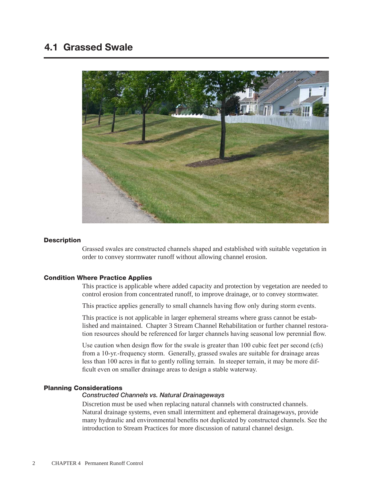

# **Description**

Grassed swales are constructed channels shaped and established with suitable vegetation in order to convey stormwater runoff without allowing channel erosion.

# Condition Where Practice Applies

This practice is applicable where added capacity and protection by vegetation are needed to control erosion from concentrated runoff, to improve drainage, or to convey stormwater.

This practice applies generally to small channels having flow only during storm events.

This practice is not applicable in larger ephemeral streams where grass cannot be established and maintained. Chapter 3 Stream Channel Rehabilitation or further channel restoration resources should be referenced for larger channels having seasonal low perennial flow.

Use caution when design flow for the swale is greater than 100 cubic feet per second (cfs) from a 10-yr.-frequency storm. Generally, grassed swales are suitable for drainage areas less than 100 acres in flat to gently rolling terrain. In steeper terrain, it may be more difficult even on smaller drainage areas to design a stable waterway.

# Planning Considerations

### *Constructed Channels vs. Natural Drainageways*

Discretion must be used when replacing natural channels with constructed channels. Natural drainage systems, even small intermittent and ephemeral drainageways, provide many hydraulic and environmental benefits not duplicated by constructed channels. See the introduction to Stream Practices for more discussion of natural channel design.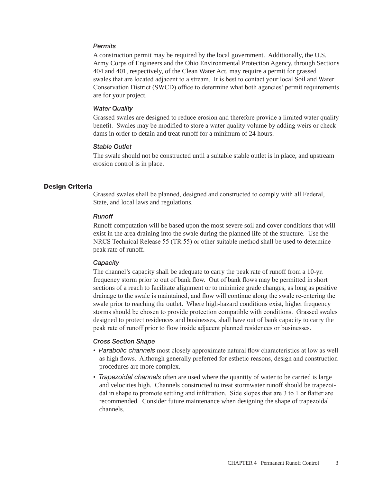# *Permits*

A construction permit may be required by the local government. Additionally, the U.S. Army Corps of Engineers and the Ohio Environmental Protection Agency, through Sections 404 and 401, respectively, of the Clean Water Act, may require a permit for grassed swales that are located adjacent to a stream. It is best to contact your local Soil and Water Conservation District (SWCD) office to determine what both agencies' permit requirements are for your project.

## *Water Quality*

Grassed swales are designed to reduce erosion and therefore provide a limited water quality benefit. Swales may be modified to store a water quality volume by adding weirs or check dams in order to detain and treat runoff for a minimum of 24 hours.

## *Stable Outlet*

The swale should not be constructed until a suitable stable outlet is in place, and upstream erosion control is in place.

### Design Criteria

Grassed swales shall be planned, designed and constructed to comply with all Federal, State, and local laws and regulations.

#### *Runoff*

Runoff computation will be based upon the most severe soil and cover conditions that will exist in the area draining into the swale during the planned life of the structure. Use the NRCS Technical Release 55 (TR 55) or other suitable method shall be used to determine peak rate of runoff.

#### *Capacity*

The channel's capacity shall be adequate to carry the peak rate of runoff from a 10-yr. frequency storm prior to out of bank flow. Out of bank flows may be permitted in short sections of a reach to facilitate alignment or to minimize grade changes, as long as positive drainage to the swale is maintained, and flow will continue along the swale re-entering the swale prior to reaching the outlet. Where high-hazard conditions exist, higher frequency storms should be chosen to provide protection compatible with conditions. Grassed swales designed to protect residences and businesses, shall have out of bank capacity to carry the peak rate of runoff prior to flow inside adjacent planned residences or businesses.

# *Cross Section Shape*

- *Parabolic channels* most closely approximate natural flow characteristics at low as well as high flows. Although generally preferred for esthetic reasons, design and construction procedures are more complex.
- *Trapezoidal channels* often are used where the quantity of water to be carried is large and velocities high. Channels constructed to treat stormwater runoff should be trapezoidal in shape to promote settling and infiltration. Side slopes that are 3 to 1 or flatter are recommended. Consider future maintenance when designing the shape of trapezoidal channels.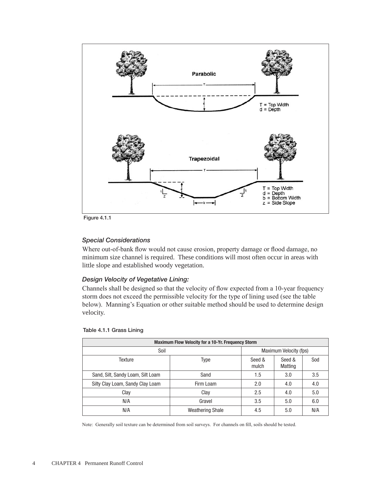

Figure 4.1.1

# *Special Considerations*

Where out-of-bank flow would not cause erosion, property damage or flood damage, no minimum size channel is required. These conditions will most often occur in areas with little slope and established woody vegetation.

# *Design Velocity of Vegetative Lining:*

Channels shall be designed so that the velocity of flow expected from a 10-year frequency storm does not exceed the permissible velocity for the type of lining used (see the table below). Manning's Equation or other suitable method should be used to determine design velocity.

| <b>Maximum Flow Velocity for a 10-Yr. Frequency Storm</b> |                         |                        |                   |     |
|-----------------------------------------------------------|-------------------------|------------------------|-------------------|-----|
| Soil                                                      |                         | Maximum Velocity (fps) |                   |     |
| Texture                                                   | <b>Type</b>             | Seed &<br>mulch        | Seed &<br>Matting | Sod |
| Sand, Silt, Sandy Loam, Silt Loam                         | Sand                    | 1.5                    | 3.0               | 3.5 |
| Silty Clay Loam, Sandy Clay Loam                          | Firm Loam               | 2.0                    | 4.0               | 4.0 |
| Clay                                                      | Clay                    | 2.5                    | 4.0               | 5.0 |
| N/A                                                       | Gravel                  | 3.5                    | 5.0               | 6.0 |
| N/A                                                       | <b>Weathering Shale</b> | 4.5                    | 5.0               | N/A |

# Table 4.1.1 Grass Lining

Note: Generally soil texture can be determined from soil surveys. For channels on fill, soils should be tested.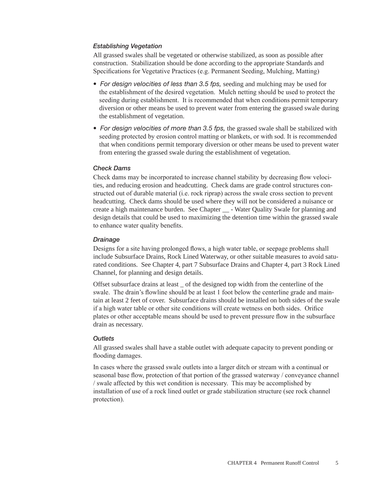# *Establishing Vegetation*

All grassed swales shall be vegetated or otherwise stabilized, as soon as possible after construction. Stabilization should be done according to the appropriate Standards and Specifications for Vegetative Practices (e.g. Permanent Seeding, Mulching, Matting)

- For design velocities of less than 3.5 fps, seeding and mulching may be used for the establishment of the desired vegetation. Mulch netting should be used to protect the seeding during establishment. It is recommended that when conditions permit temporary diversion or other means be used to prevent water from entering the grassed swale during the establishment of vegetation.
- For design velocities of more than 3.5 fps, the grassed swale shall be stabilized with seeding protected by erosion control matting or blankets, or with sod. It is recommended that when conditions permit temporary diversion or other means be used to prevent water from entering the grassed swale during the establishment of vegetation.

# *Check Dams*

Check dams may be incorporated to increase channel stability by decreasing flow velocities, and reducing erosion and headcutting. Check dams are grade control structures constructed out of durable material (i.e. rock riprap) across the swale cross section to prevent headcutting. Check dams should be used where they will not be considered a nuisance or create a high maintenance burden. See Chapter \_\_ - Water Quality Swale for planning and design details that could be used to maximizing the detention time within the grassed swale to enhance water quality benefits.

# *Drainage*

Designs for a site having prolonged flows, a high water table, or seepage problems shall include Subsurface Drains, Rock Lined Waterway, or other suitable measures to avoid saturated conditions. See Chapter 4, part 7 Subsurface Drains and Chapter 4, part 3 Rock Lined Channel, for planning and design details.

Offset subsurface drains at least \_ of the designed top width from the centerline of the swale. The drain's flowline should be at least 1 foot below the centerline grade and maintain at least 2 feet of cover. Subsurface drains should be installed on both sides of the swale if a high water table or other site conditions will create wetness on both sides. Orifice plates or other acceptable means should be used to prevent pressure flow in the subsurface drain as necessary.

# *Outlets*

All grassed swales shall have a stable outlet with adequate capacity to prevent ponding or flooding damages.

In cases where the grassed swale outlets into a larger ditch or stream with a continual or seasonal base flow, protection of that portion of the grassed waterway / conveyance channel / swale affected by this wet condition is necessary. This may be accomplished by installation of use of a rock lined outlet or grade stabilization structure (see rock channel protection).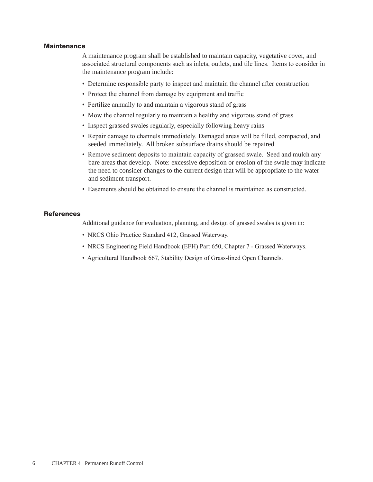### **Maintenance**

A maintenance program shall be established to maintain capacity, vegetative cover, and associated structural components such as inlets, outlets, and tile lines. Items to consider in the maintenance program include:

- Determine responsible party to inspect and maintain the channel after construction
- Protect the channel from damage by equipment and traffic
- Fertilize annually to and maintain a vigorous stand of grass
- Mow the channel regularly to maintain a healthy and vigorous stand of grass
- Inspect grassed swales regularly, especially following heavy rains
- Repair damage to channels immediately. Damaged areas will be filled, compacted, and seeded immediately. All broken subsurface drains should be repaired
- Remove sediment deposits to maintain capacity of grassed swale. Seed and mulch any bare areas that develop. Note: excessive deposition or erosion of the swale may indicate the need to consider changes to the current design that will be appropriate to the water and sediment transport.
- Easements should be obtained to ensure the channel is maintained as constructed.

## **References**

Additional guidance for evaluation, planning, and design of grassed swales is given in:

- NRCS Ohio Practice Standard 412, Grassed Waterway.
- NRCS Engineering Field Handbook (EFH) Part 650, Chapter 7 Grassed Waterways.
- Agricultural Handbook 667, Stability Design of Grass-lined Open Channels.